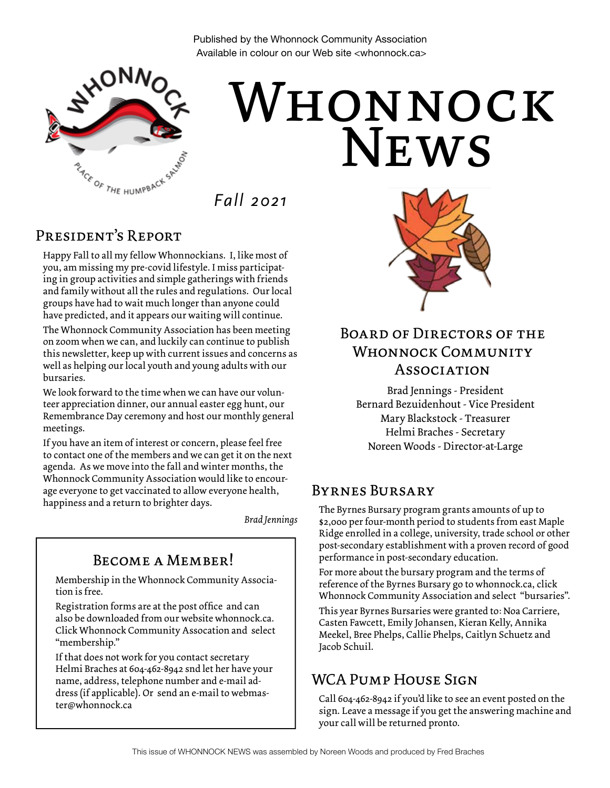Published by the Whonnock Community Association Available in colour on our Web site <whonnock.ca>



# **NEWS** WHONNOCK

*Fall 2021*

### President's Report

Happy Fall to all my fellow Whonnockians. I, like most of you, am missing my pre-covid lifestyle. I miss participating in group activities and simple gatherings with friends and family without all the rules and regulations. Our local groups have had to wait much longer than anyone could have predicted, and it appears our waiting will continue.

The Whonnock Community Association has been meeting on zoom when we can, and luckily can continue to publish this newsletter, keep up with current issues and concerns as well as helping our local youth and young adults with our bursaries.

We look forward to the time when we can have our volunteer appreciation dinner, our annual easter egg hunt, our Remembrance Day ceremony and host our monthly general meetings.

If you have an item of interest or concern, please feel free to contact one of the members and we can get it on the next agenda. As we move into the fall and winter months, the Whonnock Community Association would like to encourage everyone to get vaccinated to allow everyone health, happiness and a return to brighter days.

*Brad Jennings*

### Become a Member!

Membership in the Whonnock Community Association is free.

Registration forms are at the post office and can also be downloaded from our website whonnock.ca. Click Whonnock Community Assocation and select "membership."

If that does not work for you contact secretary Helmi Braches at 604-462-8942 snd let her have your name, address, telephone number and e-mail address (if applicable). Or send an e-mail to webmaster@whonnock.ca



### Board of Directors of the WHONNOCK COMMUNITY Association

Brad Jennings - President Bernard Bezuidenhout - Vice President Mary Blackstock - Treasurer Helmi Braches - Secretary Noreen Woods - Director-at-Large

### Byrnes Bursary

The Byrnes Bursary program grants amounts of up to \$2,000 per four-month period to students from east Maple Ridge enrolled in a college, university, trade school or other post-secondary establishment with a proven record of good performance in post-secondary education.

For more about the bursary program and the terms of reference of the Byrnes Bursary go to whonnock.ca, click Whonnock Community Association and select "bursaries".

This year Byrnes Bursaries were granted to: Noa Carriere, Casten Fawcett, Emily Johansen, Kieran Kelly, Annika Meekel, Bree Phelps, Callie Phelps, Caitlyn Schuetz and Jacob Schuil.

### WCA PUMP HOUSE SIGN

Call 604-462-8942 if you'd like to see an event posted on the sign. Leave a message if you get the answering machine and your call will be returned pronto.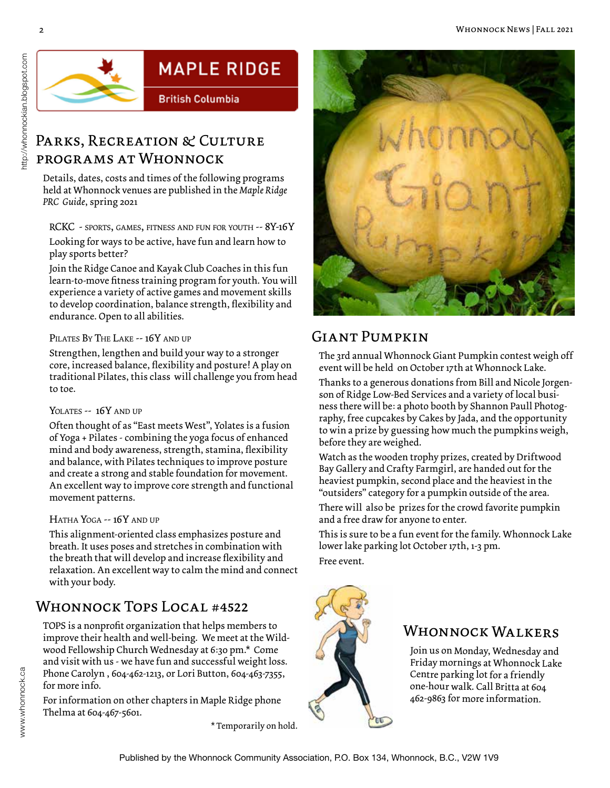

## **MAPLE RIDGE**

**British Columbia** 

### PARKS, RECREATION & CULTURE programs at Whonnock

Details, dates, costs and times of the following programs held at Whonnock venues are published in the *Maple Ridge PRC Guide*, spring 2021

RCKC - sports, games, fitness and fun for youth -- 8Y-16Y

Looking for ways to be active, have fun and learn how to play sports better?

Join the Ridge Canoe and Kayak Club Coaches in this fun learn-to-move fitness training program for youth. You will experience a variety of active games and movement skills to develop coordination, balance strength, flexibility and endurance. Open to all abilities.

#### PILATES BY THE LAKE -- 16Y AND UP

Strengthen, lengthen and build your way to a stronger core, increased balance, flexibility and posture! A play on traditional Pilates, this class will challenge you from head to toe.

#### YOLATES -- 16Y AND UP

Often thought of as "East meets West", Yolates is a fusion of Yoga + Pilates - combining the yoga focus of enhanced mind and body awareness, strength, stamina, flexibility and balance, with Pilates techniques to improve posture and create a strong and stable foundation for movement. An excellent way to improve core strength and functional movement patterns.

#### HATHA YOGA -- 16Y AND UP

This alignment-oriented class emphasizes posture and breath. It uses poses and stretches in combination with the breath that will develop and increase flexibility and relaxation. An excellent way to calm the mind and connect with your body.

### Whonnock Tops Local #4522

TOPS is a nonprofit organization that helps members to improve their health and well-being. We meet at the Wildwood Fellowship Church Wednesday at 6:30 pm.\* Come and visit with us - we have fun and successful weight loss. Phone Carolyn , 604-462-1213, or Lori Button, 604-463-7355, for more info.

For information on other chapters in Maple Ridge phone Thelma at 604-467-5601.

\* Temporarily on hold.



### Giant Pumpkin

The 3rd annual Whonnock Giant Pumpkin contest weigh off event will be held on October 17th at Whonnock Lake.

Thanks to a generous donations from Bill and Nicole Jorgenson of Ridge Low-Bed Services and a variety of local business there will be: a photo booth by Shannon Paull Photography, free cupcakes by Cakes by Jada, and the opportunity to win a prize by guessing how much the pumpkins weigh, before they are weighed.

Watch as the wooden trophy prizes, created by Driftwood Bay Gallery and Crafty Farmgirl, are handed out for the heaviest pumpkin, second place and the heaviest in the "outsiders" category for a pumpkin outside of the area.

There will also be prizes for the crowd favorite pumpkin and a free draw for anyone to enter.

This is sure to be a fun event for the family. Whonnock Lake lower lake parking lot October 17th, 1-3 pm. Free event.

### WHONNOCK WALKERS

Join us on Monday, Wednesday and Friday mornings at Whonnock Lake Centre parking lot for a friendly one-hour walk. Call Britta at 604 462-9863 for more information.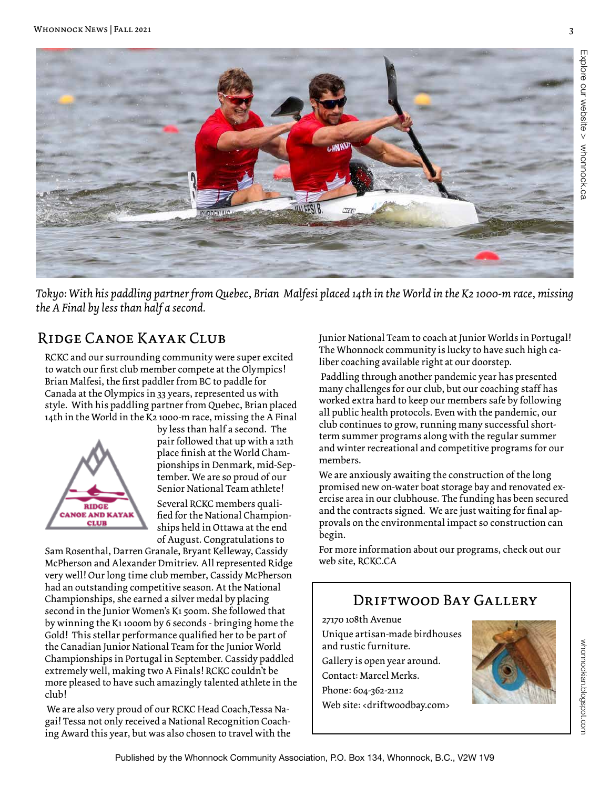

*Tokyo: With his paddling partner from Quebec, Brian Malfesi placed 14th in the World in the K2 1000-m race, missing the A Final by less than half a second.* 

### Ridge Canoe Kayak Club

RCKC and our surrounding community were super excited to watch our first club member compete at the Olympics! Brian Malfesi, the first paddler from BC to paddle for Canada at the Olympics in 33 years, represented us with style. With his paddling partner from Quebec, Brian placed 14th in the World in the K2 1000-m race, missing the A Final



by less than half a second. The pair followed that up with a 12th place finish at the World Championships in Denmark, mid-September. We are so proud of our Senior National Team athlete! Several RCKC members qualified for the National Championships held in Ottawa at the end of August. Congratulations to

Sam Rosenthal, Darren Granale, Bryant Kelleway, Cassidy McPherson and Alexander Dmitriev. All represented Ridge very well! Our long time club member, Cassidy McPherson had an outstanding competitive season. At the National Championships, she earned a silver medal by placing second in the Junior Women's K1 500m. She followed that by winning the K1 1000m by 6 seconds - bringing home the Gold! This stellar performance qualified her to be part of the Canadian Junior National Team for the Junior World Championships in Portugal in September. Cassidy paddled extremely well, making two A Finals! RCKC couldn't be more pleased to have such amazingly talented athlete in the club!

We are also very proud of our RCKC Head Coach,Tessa Nagai! Tessa not only received a National Recognition Coaching Award this year, but was also chosen to travel with the

Junior National Team to coach at Junior Worlds in Portugal! The Whonnock community is lucky to have such high caliber coaching available right at our doorstep.

Paddling through another pandemic year has presented many challenges for our club, but our coaching staff has worked extra hard to keep our members safe by following all public health protocols. Even with the pandemic, our club continues to grow, running many successful shortterm summer programs along with the regular summer and winter recreational and competitive programs for our members.

We are anxiously awaiting the construction of the long promised new on-water boat storage bay and renovated exercise area in our clubhouse. The funding has been secured and the contracts signed. We are just waiting for final approvals on the environmental impact so construction can begin.

For more information about our programs, check out our web site, RCKC.CA

### DRIFTWOOD BAY GALLERY

27170 108th Avenue Unique artisan-made birdhouses and rustic furniture. Gallery is open year around. Contact: Marcel Merks. Phone: 604-362-2112 Web site: <driftwoodbay.com>

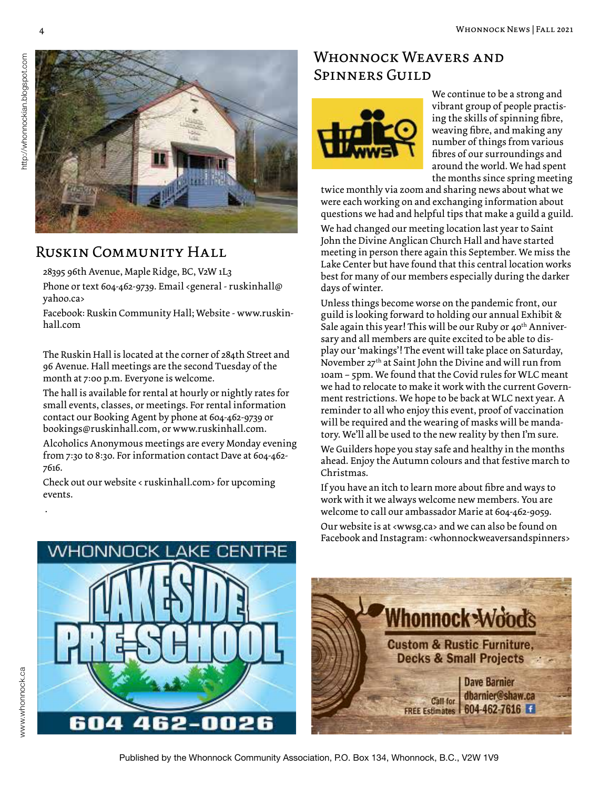

### Ruskin Community Hall

28395 96th Avenue, Maple Ridge, BC, V2W 1L3

Phone or text 604-462-9739. Email <general - ruskinhall@ yahoo.ca>

Facebook: Ruskin Community Hall; Website - www.ruskinhall.com

The Ruskin Hall is located at the corner of 284th Street and 96 Avenue. Hall meetings are the second Tuesday of the month at 7:00 p.m. Everyone is welcome.

The hall is available for rental at hourly or nightly rates for small events, classes, or meetings. For rental information contact our Booking Agent by phone at 604-462-9739 or bookings@ruskinhall.com, or www.ruskinhall.com.

Alcoholics Anonymous meetings are every Monday evening from 7:30 to 8:30. For information contact Dave at 604-462- 7616.

Check out our website < ruskinhall.com> for upcoming events.

### WHONNOCK WEAVERS AND Spinners Guild



We continue to be a strong and vibrant group of people practising the skills of spinning fibre, weaving fibre, and making any number of things from various fibres of our surroundings and around the world. We had spent the months since spring meeting

twice monthly via zoom and sharing news about what we were each working on and exchanging information about questions we had and helpful tips that make a guild a guild.

We had changed our meeting location last year to Saint John the Divine Anglican Church Hall and have started meeting in person there again this September. We miss the Lake Center but have found that this central location works best for many of our members especially during the darker days of winter.

Unless things become worse on the pandemic front, our guild is looking forward to holding our annual Exhibit & Sale again this year! This will be our Ruby or  $40<sup>th</sup>$  Anniversary and all members are quite excited to be able to display our 'makings'! The event will take place on Saturday, November 27<sup>th</sup> at Saint John the Divine and will run from 10am – 5pm. We found that the Covid rules for WLC meant we had to relocate to make it work with the current Government restrictions. We hope to be back at WLC next year. A reminder to all who enjoy this event, proof of vaccination will be required and the wearing of masks will be mandatory. We'll all be used to the new reality by then I'm sure.

We Guilders hope you stay safe and healthy in the months ahead. Enjoy the Autumn colours and that festive march to Christmas.

If you have an itch to learn more about fibre and ways to work with it we always welcome new members. You are welcome to call our ambassador Marie at 604-462-9059.

Our website is at <wwsg.ca> and we can also be found on Facebook and Instagram: <whonnockweaversandspinners>





.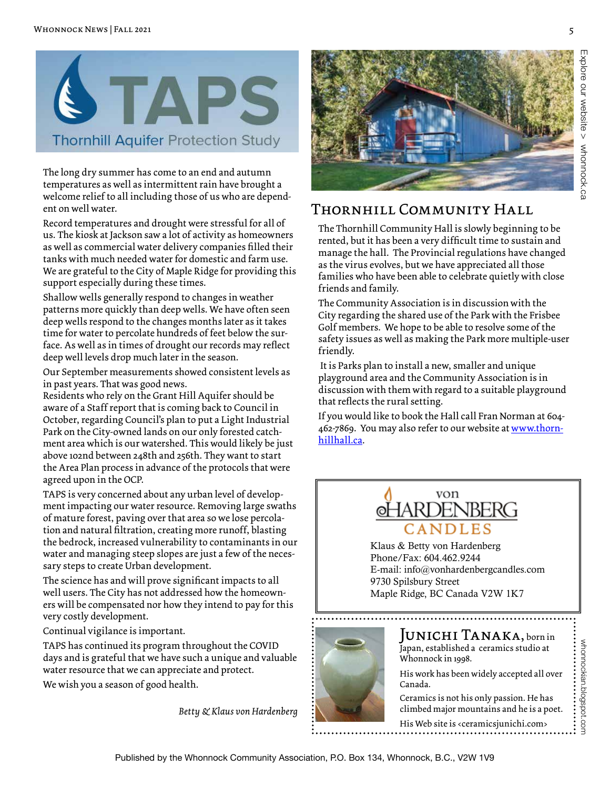

The long dry summer has come to an end and autumn temperatures as well as intermittent rain have brought a welcome relief to all including those of us who are dependent on well water.

Record temperatures and drought were stressful for all of us. The kiosk at Jackson saw a lot of activity as homeowners as well as commercial water delivery companies filled their tanks with much needed water for domestic and farm use. We are grateful to the City of Maple Ridge for providing this support especially during these times.

Shallow wells generally respond to changes in weather patterns more quickly than deep wells. We have often seen deep wells respond to the changes months later as it takes time for water to percolate hundreds of feet below the surface. As well as in times of drought our records may reflect deep well levels drop much later in the season.

Our September measurements showed consistent levels as in past years. That was good news.

Residents who rely on the Grant Hill Aquifer should be aware of a Staff report that is coming back to Council in October, regarding Council's plan to put a Light Industrial Park on the City-owned lands on our only forested catchment area which is our watershed. This would likely be just above 102nd between 248th and 256th. They want to start the Area Plan process in advance of the protocols that were agreed upon in the OCP.

TAPS is very concerned about any urban level of development impacting our water resource. Removing large swaths of mature forest, paving over that area so we lose percolation and natural filtration, creating more runoff, blasting the bedrock, increased vulnerability to contaminants in our water and managing steep slopes are just a few of the necessary steps to create Urban development.

The science has and will prove significant impacts to all well users. The City has not addressed how the homeowners will be compensated nor how they intend to pay for this very costly development.

Continual vigilance is important.

TAPS has continued its program throughout the COVID days and is grateful that we have such a unique and valuable water resource that we can appreciate and protect.

We wish you a season of good health.

*Betty & Klaus von Hardenberg*



### Thornhill Community Hall

The Thornhill Community Hall is slowly beginning to be rented, but it has been a very difficult time to sustain and manage the hall. The Provincial regulations have changed as the virus evolves, but we have appreciated all those families who have been able to celebrate quietly with close friends and family.

The Community Association is in discussion with the City regarding the shared use of the Park with the Frisbee Golf members. We hope to be able to resolve some of the safety issues as well as making the Park more multiple-user friendly.

It is Parks plan to install a new, smaller and unique playground area and the Community Association is in discussion with them with regard to a suitable playground that reflects the rural setting.

If you would like to book the Hall call Fran Norman at 604- 462-7869. You may also refer to our website at www.thornhillhall.ca.



Klaus & Betty von Hardenberg Phone/Fax: 604.462.9244 E-mail: info@vonhardenbergcandles.com 9730 Spilsbury Street Maple Ridge, BC Canada V2W 1K7



#### Junichi Tanaka, born in Japan, established a ceramics studio at Whonnock in 1998.

His work has been widely accepted all over Canada.

whonnockian.blogspot.com

whomockian.blogspot.com

Ceramics is not his only passion. He has climbed major mountains and he is a poet.

His Web site is <ceramicsjunichi.com>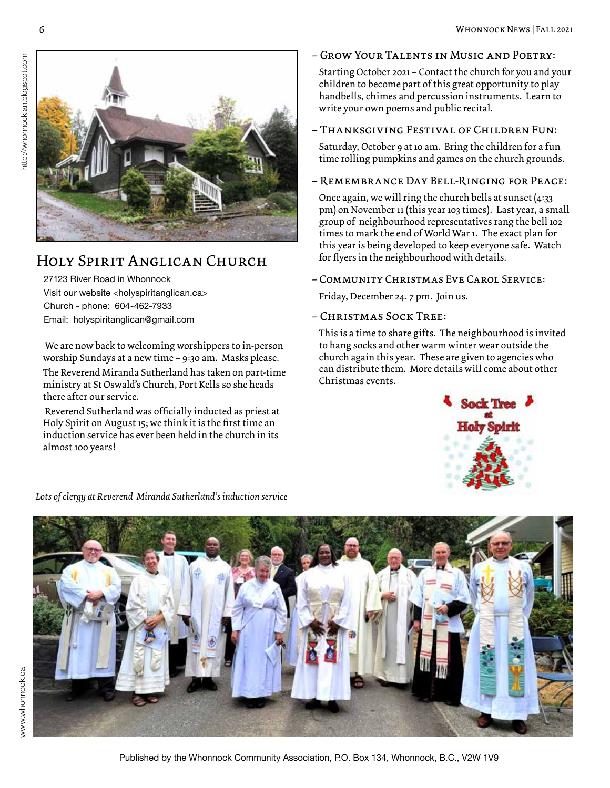

### Holy Spirit Anglican Church

27123 River Road in Whonnock Visit our website <holyspiritanglican.ca> Church - phone: 604-462-7933 Email: holyspiritanglican@gmail.com

 We are now back to welcoming worshippers to in-person worship Sundays at a new time – 9:30 am. Masks please.

The Reverend Miranda Sutherland has taken on part-time ministry at St Oswald's Church, Port Kells so she heads there after our service.

 Reverend Sutherland was officially inducted as priest at Holy Spirit on August 15; we think it is the first time an induction service has ever been held in the church in its almost 100 years!

#### – Grow Your Talents in Music and Poetry:

Starting October 2021 – Contact the church for you and your children to become part of this great opportunity to play handbells, chimes and percussion instruments. Learn to write your own poems and public recital.

#### – Thanksgiving Festival of Children Fun:

Saturday, October 9 at 10 am. Bring the children for a fun time rolling pumpkins and games on the church grounds.

#### – Remembrance Day Bell-Ringing for Peace:

Once again, we will ring the church bells at sunset (4:33 pm) on November 11 (this year 103 times). Last year, a small group of neighbourhood representatives rang the bell 102 times to mark the end of World War 1. The exact plan for this year is being developed to keep everyone safe. Watch for flyers in the neighbourhood with details.

– Community Christmas Eve Carol Service:

Friday, December 24. 7 pm. Join us.

– Christmas Sock Tree:

This is a time to share gifts. The neighbourhood is invited to hang socks and other warm winter wear outside the church again this year. These are given to agencies who can distribute them. More details will come about other Christmas events.



### *Lots of clergy at Reverend Miranda Sutherland's induction service*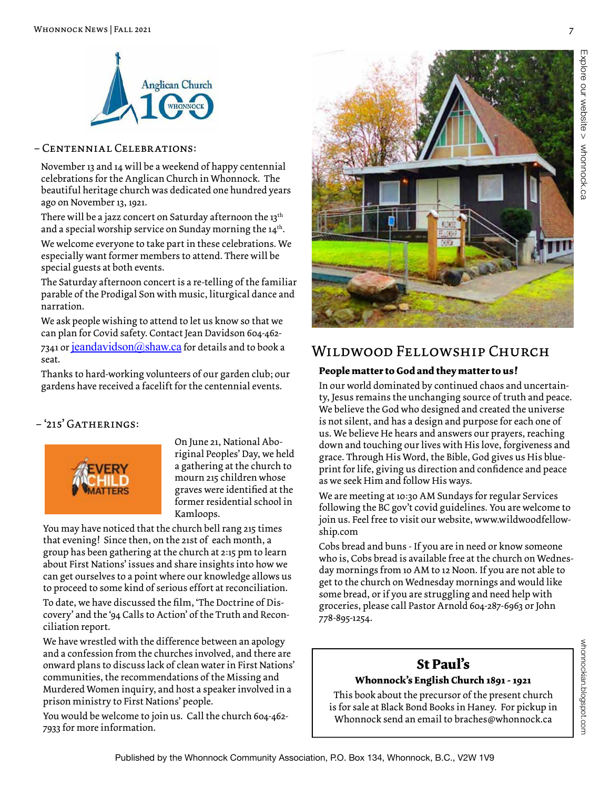

#### – Centennial Celebrations:

November 13 and 14 will be a weekend of happy centennial celebrations for the Anglican Church in Whonnock. The beautiful heritage church was dedicated one hundred years ago on November 13, 1921.

There will be a jazz concert on Saturday afternoon the 13<sup>th</sup> and a special worship service on Sunday morning the 14th.

We welcome everyone to take part in these celebrations. We especially want former members to attend. There will be special guests at both events.

The Saturday afternoon concert is a re-telling of the familiar parable of the Prodigal Son with music, liturgical dance and narration.

We ask people wishing to attend to let us know so that we can plan for Covid safety. Contact Jean Davidson 604-462- 7341 or jeandavidson $@$ shaw.ca for details and to book a seat.

Thanks to hard-working volunteers of our garden club; our gardens have received a facelift for the centennial events.

#### $-215$ <sup>'</sup> GATHERINGS:



On June 21, National Aboriginal Peoples' Day, we held a gathering at the church to mourn 215 children whose graves were identified at the former residential school in Kamloops.

You may have noticed that the church bell rang 215 times that evening! Since then, on the 21st of each month, a group has been gathering at the church at 2:15 pm to learn about First Nations' issues and share insights into how we can get ourselves to a point where our knowledge allows us to proceed to some kind of serious effort at reconciliation. To date, we have discussed the film, 'The Doctrine of Dis-

covery' and the '94 Calls to Action' of the Truth and Reconciliation report.

We have wrestled with the difference between an apology and a confession from the churches involved, and there are onward plans to discuss lack of clean water in First Nations' communities, the recommendations of the Missing and Murdered Women inquiry, and host a speaker involved in a prison ministry to First Nations' people.

You would be welcome to join us. Call the church 604-462- 7933 for more information.



### Wildwood Fellowship Church

#### **People matter to God and they matter to us!**

In our world dominated by continued chaos and uncertainty, Jesus remains the unchanging source of truth and peace. We believe the God who designed and created the universe is not silent, and has a design and purpose for each one of us. We believe He hears and answers our prayers, reaching down and touching our lives with His love, forgiveness and grace. Through His Word, the Bible, God gives us His blueprint for life, giving us direction and confidence and peace as we seek Him and follow His ways.

We are meeting at 10:30 AM Sundays for regular Services following the BC gov't covid guidelines. You are welcome to join us. Feel free to visit our website, www.wildwoodfellowship.com

Cobs bread and buns - If you are in need or know someone who is, Cobs bread is available free at the church on Wednesday mornings from 10 AM to 12 Noon. If you are not able to get to the church on Wednesday mornings and would like some bread, or if you are struggling and need help with groceries, please call Pastor Arnold 604-287-6963 or John 778-895-1254.

### **St Paul's**

#### **Whonnock's English Church 1891 - 1921**

This book about the precursor of the present church is for sale at Black Bond Books in Haney. For pickup in Whonnock send an email to braches@whonnock.ca

whonnockian.blogspot.com

whonnockian.blogspot.com